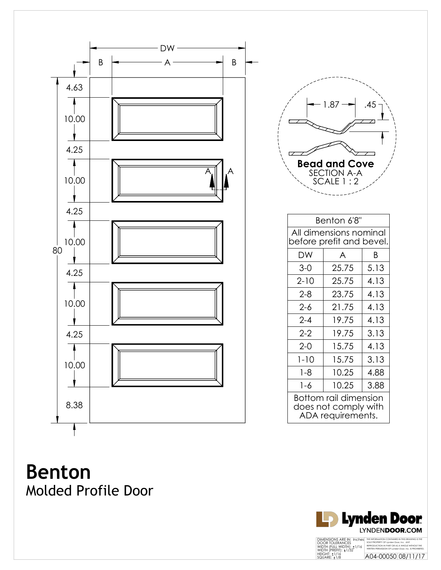

| 1.87<br><b>Bead and Cove</b><br><b>SECTION A-A</b><br>SCALE 1:2 |  |
|-----------------------------------------------------------------|--|
| Benton 6'8"                                                     |  |
| All dimensions nominal<br>before prefit and bevel               |  |

| All dimensions nominal<br>before prefit and bevel.                 |       |      |  |  |  |  |
|--------------------------------------------------------------------|-------|------|--|--|--|--|
| DW                                                                 | A     | Β    |  |  |  |  |
| $3-0$                                                              | 25.75 | 5.13 |  |  |  |  |
| $2 - 10$                                                           | 25.75 | 4.13 |  |  |  |  |
| $2 - 8$                                                            | 23.75 | 4.13 |  |  |  |  |
| 2-6                                                                | 21.75 | 4.13 |  |  |  |  |
| $2 - 4$                                                            | 19.75 | 4.13 |  |  |  |  |
| $2 - 2$                                                            | 19.75 | 3.13 |  |  |  |  |
| $2 - 0$                                                            | 15.75 | 4.13 |  |  |  |  |
| $1 - 10$                                                           | 15.75 | 3.13 |  |  |  |  |
| $1 - 8$                                                            | 10.25 | 4.88 |  |  |  |  |
| 1-6                                                                | 10.25 | 3.88 |  |  |  |  |
| Bottom rail dimension<br>does not comply with<br>ADA requirements. |       |      |  |  |  |  |

**Benton** Molded Profile Door

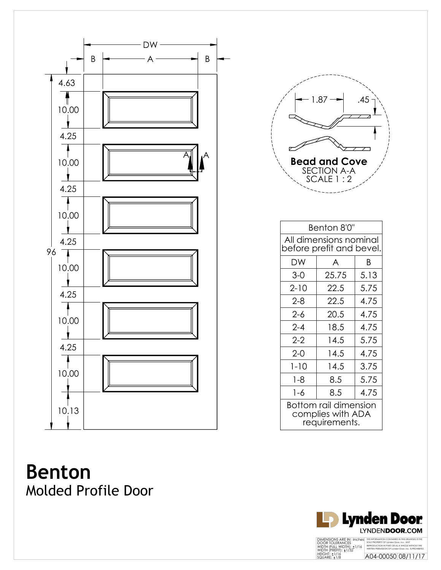



| Benton 8'0"                                                 |       |      |  |  |  |  |
|-------------------------------------------------------------|-------|------|--|--|--|--|
| All dimensions nominal<br>before prefit and bevel.          |       |      |  |  |  |  |
| DW                                                          | A     | Β    |  |  |  |  |
| $3-0$                                                       | 25.75 | 5.13 |  |  |  |  |
| $2 - 10$                                                    | 22.5  | 5.75 |  |  |  |  |
| $2 - 8$                                                     | 22.5  | 4.75 |  |  |  |  |
| $2 - 6$                                                     | 20.5  | 4.75 |  |  |  |  |
| $2 - 4$                                                     | 18.5  | 4.75 |  |  |  |  |
| $2 - 2$                                                     | 14.5  | 5.75 |  |  |  |  |
| $2-0$                                                       | 14.5  | 4.75 |  |  |  |  |
| $1 - 10$                                                    | 14.5  | 3.75 |  |  |  |  |
| $1 - 8$                                                     | 8.5   | 5.75 |  |  |  |  |
| $1 - 6$                                                     | 8.5   | 4.75 |  |  |  |  |
| Bottom rail dimension<br>complies with ADA<br>requirements. |       |      |  |  |  |  |

**Benton** Molded Profile Door